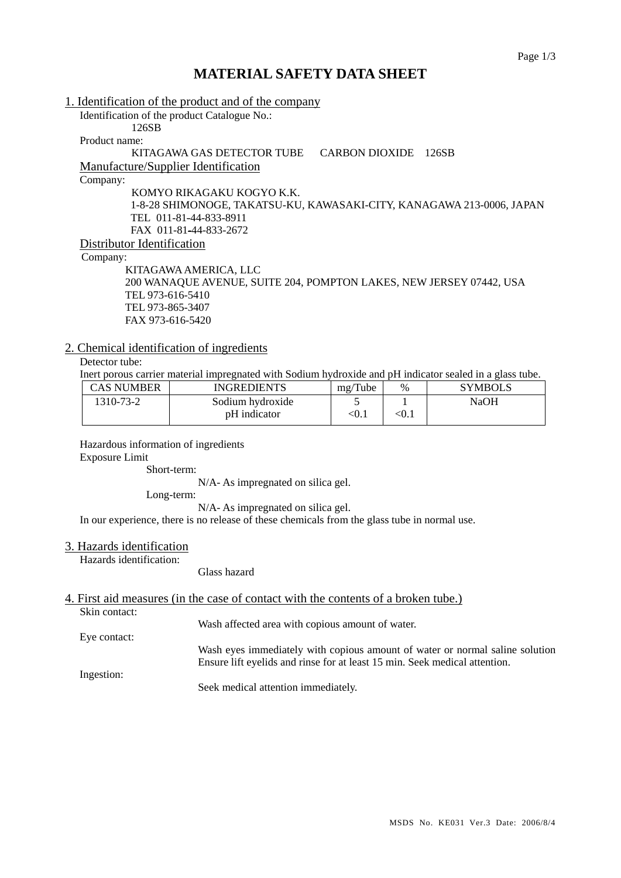# **MATERIAL SAFETY DATA SHEET**

| 1. Identification of the product and of the company                   |
|-----------------------------------------------------------------------|
| Identification of the product Catalogue No.:                          |
| 126SB                                                                 |
| Product name:                                                         |
| KITAGAWA GAS DETECTOR TUBE<br><b>CARBON DIOXIDE</b><br>126SB          |
| <b>Manufacture/Supplier Identification</b>                            |
| Company:                                                              |
| KOMYO RIKAGAKU KOGYO K.K.                                             |
| 1-8-28 SHIMONOGE, TAKATSU-KU, KAWASAKI-CITY, KANAGAWA 213-0006, JAPAN |
| TEL 011-81-44-833-8911                                                |
| FAX 011-81-44-833-2672                                                |
| Distributor Identification                                            |
| Company:                                                              |
| KITAGAWA AMERICA, LLC                                                 |
| 200 WANAQUE AVENUE, SUITE 204, POMPTON LAKES, NEW JERSEY 07442, USA   |
| TEL 973-616-5410                                                      |
| TEL 973-865-3407                                                      |
| FAX 973-616-5420                                                      |

## 2. Chemical identification of ingredients

Detector tube:

Inert porous carrier material impregnated with Sodium hydroxide and pH indicator sealed in a glass tube.

| CAS NUMBER | <b>INGREDIENTS</b> | mg/Tube | $\%$  | <b>SYMBOLS</b> |
|------------|--------------------|---------|-------|----------------|
| 1310-73-2  | Sodium hydroxide   |         |       | NaOH           |
|            | pH indicator       | < 0.1   | < 0.1 |                |

Hazardous information of ingredients

Exposure Limit

Short-term:

N/A- As impregnated on silica gel.

Long-term:

N/A- As impregnated on silica gel.

In our experience, there is no release of these chemicals from the glass tube in normal use.

#### 3. Hazards identification

Hazards identification:

#### Glass hazard

# 4. First aid measures (in the case of contact with the contents of a broken tube.)

Skin contact:

Wash affected area with copious amount of water.

Eye contact:

Wash eyes immediately with copious amount of water or normal saline solution Ensure lift eyelids and rinse for at least 15 min. Seek medical attention.

Ingestion:

Seek medical attention immediately.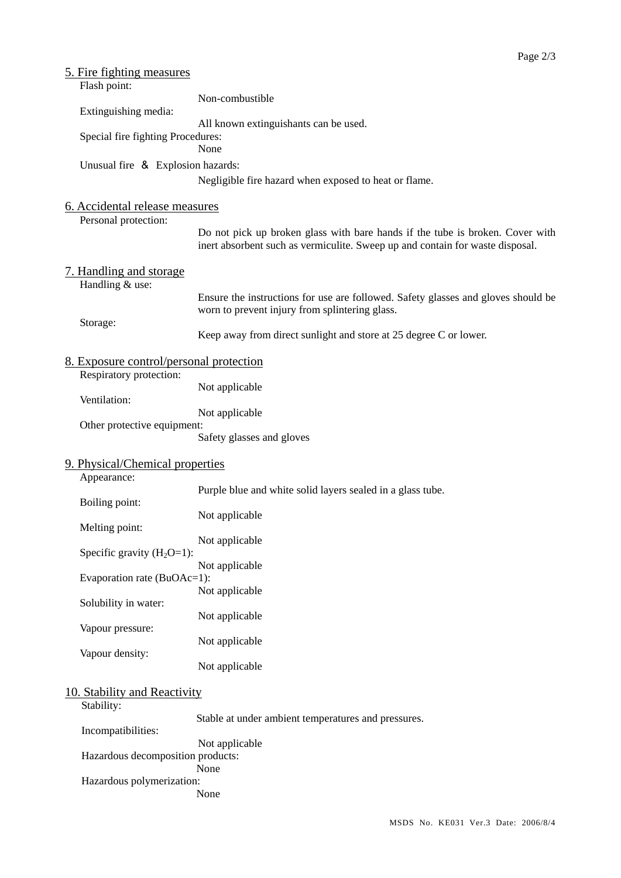| <u>5. Fire fighting measures</u>                  |                                                                                                                                                                |  |  |  |  |  |
|---------------------------------------------------|----------------------------------------------------------------------------------------------------------------------------------------------------------------|--|--|--|--|--|
| Flash point:                                      | Non-combustible                                                                                                                                                |  |  |  |  |  |
| Extinguishing media:                              |                                                                                                                                                                |  |  |  |  |  |
|                                                   | All known extinguishants can be used.                                                                                                                          |  |  |  |  |  |
| Special fire fighting Procedures:                 |                                                                                                                                                                |  |  |  |  |  |
|                                                   | None                                                                                                                                                           |  |  |  |  |  |
| Unusual fire & Explosion hazards:                 |                                                                                                                                                                |  |  |  |  |  |
|                                                   | Negligible fire hazard when exposed to heat or flame.                                                                                                          |  |  |  |  |  |
| 6. Accidental release measures                    |                                                                                                                                                                |  |  |  |  |  |
| Personal protection:                              |                                                                                                                                                                |  |  |  |  |  |
|                                                   | Do not pick up broken glass with bare hands if the tube is broken. Cover with<br>inert absorbent such as vermiculite. Sweep up and contain for waste disposal. |  |  |  |  |  |
|                                                   |                                                                                                                                                                |  |  |  |  |  |
| <u>7. Handling and storage</u><br>Handling & use: |                                                                                                                                                                |  |  |  |  |  |
|                                                   | Ensure the instructions for use are followed. Safety glasses and gloves should be                                                                              |  |  |  |  |  |
|                                                   | worn to prevent injury from splintering glass.                                                                                                                 |  |  |  |  |  |
| Storage:                                          | Keep away from direct sunlight and store at 25 degree C or lower.                                                                                              |  |  |  |  |  |
|                                                   |                                                                                                                                                                |  |  |  |  |  |
| <u>8. Exposure control/personal protection</u>    |                                                                                                                                                                |  |  |  |  |  |
| Respiratory protection:                           |                                                                                                                                                                |  |  |  |  |  |
| Ventilation:                                      | Not applicable                                                                                                                                                 |  |  |  |  |  |
|                                                   | Not applicable                                                                                                                                                 |  |  |  |  |  |
| Other protective equipment:                       |                                                                                                                                                                |  |  |  |  |  |
|                                                   | Safety glasses and gloves                                                                                                                                      |  |  |  |  |  |
| 9. Physical/Chemical properties                   |                                                                                                                                                                |  |  |  |  |  |
| Appearance:                                       |                                                                                                                                                                |  |  |  |  |  |
|                                                   | Purple blue and white solid layers sealed in a glass tube.                                                                                                     |  |  |  |  |  |
| Boiling point:                                    | Not applicable                                                                                                                                                 |  |  |  |  |  |
| Melting point:                                    |                                                                                                                                                                |  |  |  |  |  |
|                                                   | Not applicable                                                                                                                                                 |  |  |  |  |  |
| Specific gravity $(H_2O=1)$ :                     | Not applicable                                                                                                                                                 |  |  |  |  |  |
| Evaporation rate (BuOAc=1):                       |                                                                                                                                                                |  |  |  |  |  |
|                                                   | Not applicable                                                                                                                                                 |  |  |  |  |  |
| Solubility in water:                              | Not applicable                                                                                                                                                 |  |  |  |  |  |
| Vapour pressure:                                  |                                                                                                                                                                |  |  |  |  |  |
|                                                   | Not applicable                                                                                                                                                 |  |  |  |  |  |
| Vapour density:                                   |                                                                                                                                                                |  |  |  |  |  |
|                                                   | Not applicable                                                                                                                                                 |  |  |  |  |  |
| 10. Stability and Reactivity                      |                                                                                                                                                                |  |  |  |  |  |
| Stability:                                        |                                                                                                                                                                |  |  |  |  |  |
|                                                   | Stable at under ambient temperatures and pressures.                                                                                                            |  |  |  |  |  |
| Incompatibilities:                                | Not applicable                                                                                                                                                 |  |  |  |  |  |
| Hazardous decomposition products:                 |                                                                                                                                                                |  |  |  |  |  |
|                                                   | None                                                                                                                                                           |  |  |  |  |  |
| Hazardous polymerization:                         | None                                                                                                                                                           |  |  |  |  |  |
|                                                   |                                                                                                                                                                |  |  |  |  |  |